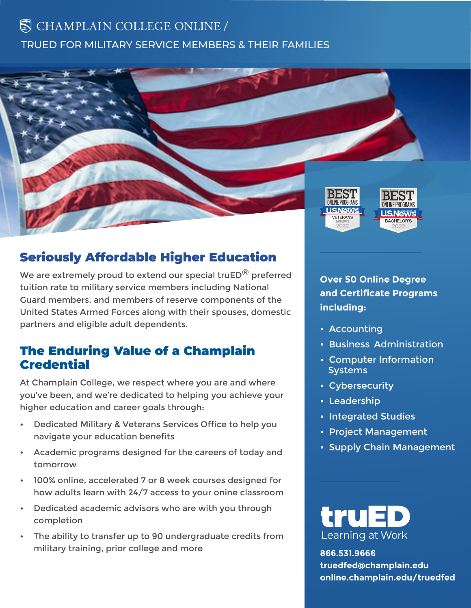# $\mathbb S$  CHAMPLAIN COLLEGE ONLINE / TRUED FOR MILITARY SERVICE MEMBERS & THEIR FAMILIES



## Seriously Affordable Higher Education

We are extremely proud to extend our special truED $^{\circledR}$  preferred tuition rate to military service members including National Guard members, and members of reserve components of the United States Armed Forces along with their spouses, domestic partners and eligible adult dependents.

#### The Enduring Value of a Champlain **Credential**

At Champlain College, we respect where you are and where you've been, and we're dedicated to helping you achieve your higher education and career goals through:

- Dedicated Military & Veterans Services Office to help you navigate your education benefits
- Academic programs designed for the careers of today and tomorrow
- 100% online, accelerated 7 or 8 week courses designed for how adults learn with 24/7 access to your onine classroom
- Dedicated academic advisors who are with you through completion
- The ability to transfer up to 90 undergraduate credits from military training, prior college and more

**Over 50 Online Degree and Certificate Programs including:**

- Accounting
- Business Administration
- Computer Information **Systems**
- Cybersecurity
- Leadership
- Integrated Studies
- Project Management
- Supply Chain Management



**866.531.9666 truedfed@champlain.edu online.champlain.edu/truedfed**